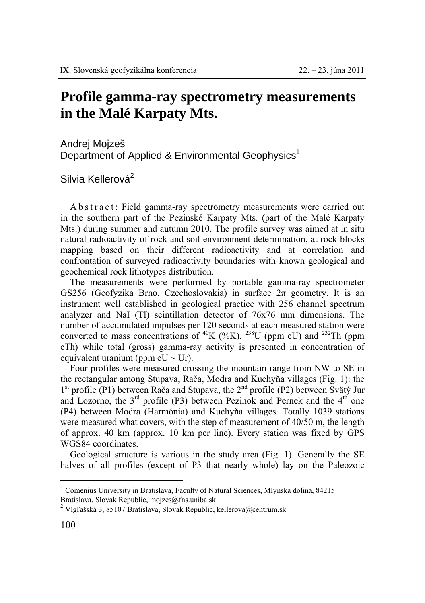## **Profile gamma-ray spectrometry measurements in the Malé Karpaty Mts.**

Andrej Mojzeš Department of Applied & Environmental Geophysics<sup>1</sup>

Silvia Kellerová<sup>2</sup>

A b s t r a c t : Field gamma-ray spectrometry measurements were carried out in the southern part of the Pezinské Karpaty Mts. (part of the Malé Karpaty Mts.) during summer and autumn 2010. The profile survey was aimed at in situ natural radioactivity of rock and soil environment determination, at rock blocks mapping based on their different radioactivity and at correlation and confrontation of surveyed radioactivity boundaries with known geological and geochemical rock lithotypes distribution.

The measurements were performed by portable gamma-ray spectrometer GS256 (Geofyzika Brno, Czechoslovakia) in surface 2π geometry. It is an instrument well established in geological practice with 256 channel spectrum analyzer and NaI (Tl) scintillation detector of 76x76 mm dimensions. The number of accumulated impulses per 120 seconds at each measured station were converted to mass concentrations of  ${}^{40}K$  (%K),  ${}^{238}U$  (ppm eU) and  ${}^{232}Th$  (ppm eTh) while total (gross) gamma-ray activity is presented in concentration of equivalent uranium (ppm  $eU \sim Ur$ ).

Four profiles were measured crossing the mountain range from NW to SE in the rectangular among Stupava, Rača, Modra and Kuchyňa villages (Fig. 1): the 1<sup>st</sup> profile (P1) between Rača and Stupava, the 2<sup>nd</sup> profile (P2) between Svätý Jur and Lozorno, the  $3<sup>rd</sup>$  profile (P3) between Pezinok and Pernek and the  $4<sup>th</sup>$  one (P4) between Modra (Harmónia) and Kuchyňa villages. Totally 1039 stations were measured what covers, with the step of measurement of 40/50 m, the length of approx. 40 km (approx. 10 km per line). Every station was fixed by GPS WGS84 coordinates.

Geological structure is various in the study area (Fig. 1). Generally the SE halves of all profiles (except of P3 that nearly whole) lay on the Paleozoic

 $\overline{a}$ 

 $1$  Comenius University in Bratislava, Faculty of Natural Sciences, Mlynská dolina, 84215 Bratislava, Slovak Republic, mojzes@fns.uniba.sk

<sup>&</sup>lt;sup>2</sup> Vígľašská 3, 85107 Bratislava, Slovak Republic, kellerova@centrum.sk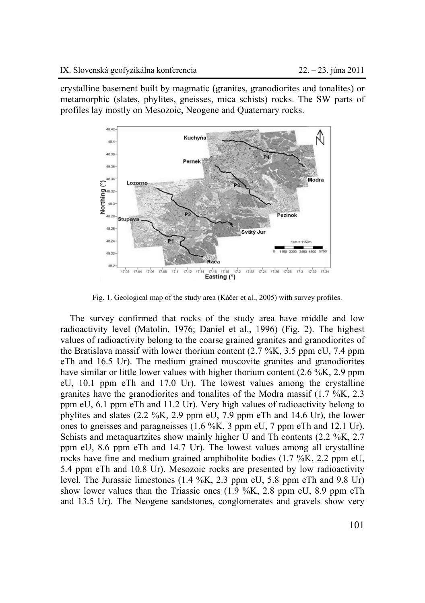crystalline basement built by magmatic (granites, granodiorites and tonalites) or metamorphic (slates, phylites, gneisses, mica schists) rocks. The SW parts of profiles lay mostly on Mesozoic, Neogene and Quaternary rocks.



Fig. 1. Geological map of the study area (Káčer et al., 2005) with survey profiles.

The survey confirmed that rocks of the study area have middle and low radioactivity level (Matolín, 1976; Daniel et al., 1996) (Fig. 2). The highest values of radioactivity belong to the coarse grained granites and granodiorites of the Bratislava massif with lower thorium content (2.7 %K, 3.5 ppm eU, 7.4 ppm eTh and 16.5 Ur). The medium grained muscovite granites and granodiorites have similar or little lower values with higher thorium content (2.6 %K, 2.9 ppm) eU, 10.1 ppm eTh and 17.0 Ur). The lowest values among the crystalline granites have the granodiorites and tonalites of the Modra massif (1.7 %K, 2.3 ppm eU, 6.1 ppm eTh and 11.2 Ur). Very high values of radioactivity belong to phylites and slates (2.2 %K, 2.9 ppm eU, 7.9 ppm eTh and 14.6 Ur), the lower ones to gneisses and paragneisses (1.6 %K, 3 ppm eU, 7 ppm eTh and 12.1 Ur). Schists and metaquartzites show mainly higher U and Th contents (2.2 %K, 2.7 ppm eU, 8.6 ppm eTh and 14.7 Ur). The lowest values among all crystalline rocks have fine and medium grained amphibolite bodies (1.7 %K, 2.2 ppm eU, 5.4 ppm eTh and 10.8 Ur). Mesozoic rocks are presented by low radioactivity level. The Jurassic limestones (1.4 %K, 2.3 ppm eU, 5.8 ppm eTh and 9.8 Ur) show lower values than the Triassic ones  $(1.9\%K, 2.8 \text{ ppm} \text{ eU}, 8.9 \text{ ppm} \text{ eTh})$ and 13.5 Ur). The Neogene sandstones, conglomerates and gravels show very